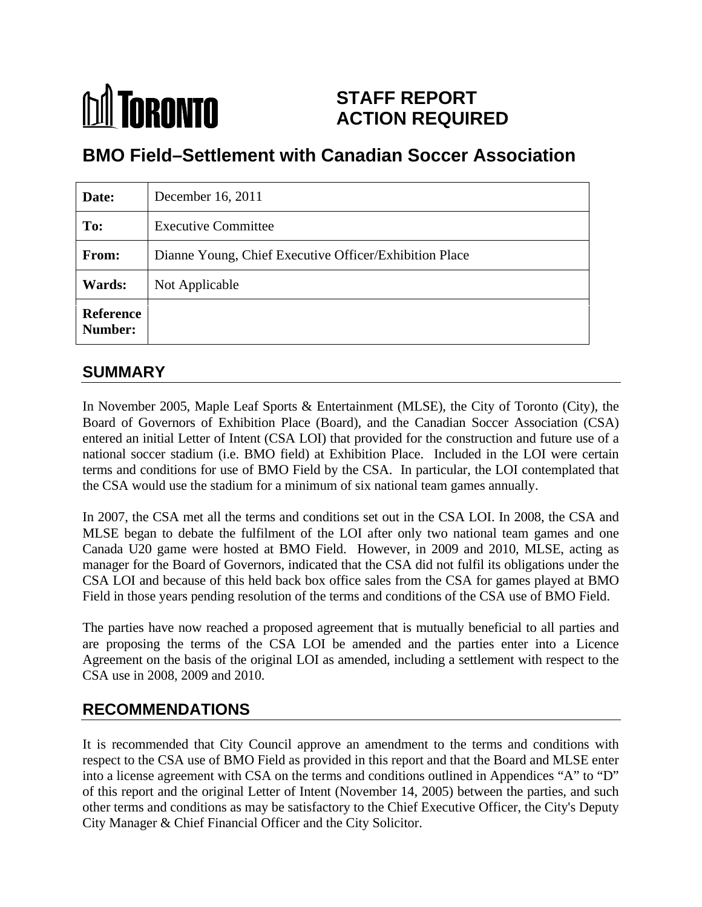# **M** TORONTO **STAFF REPORT ACTION REQUIRED**

# **BMO Field–Settlement with Canadian Soccer Association**

| Date:                              | December 16, 2011                                      |
|------------------------------------|--------------------------------------------------------|
| To:                                | <b>Executive Committee</b>                             |
| From:                              | Dianne Young, Chief Executive Officer/Exhibition Place |
| <b>Wards:</b>                      | Not Applicable                                         |
| <b>Reference</b><br><b>Number:</b> |                                                        |

## **SUMMARY**

In November 2005, Maple Leaf Sports & Entertainment (MLSE), the City of Toronto (City), the Board of Governors of Exhibition Place (Board), and the Canadian Soccer Association (CSA) entered an initial Letter of Intent (CSA LOI) that provided for the construction and future use of a national soccer stadium (i.e. BMO field) at Exhibition Place. Included in the LOI were certain terms and conditions for use of BMO Field by the CSA. In particular, the LOI contemplated that the CSA would use the stadium for a minimum of six national team games annually.

In 2007, the CSA met all the terms and conditions set out in the CSA LOI. In 2008, the CSA and MLSE began to debate the fulfilment of the LOI after only two national team games and one Canada U20 game were hosted at BMO Field. However, in 2009 and 2010, MLSE, acting as manager for the Board of Governors, indicated that the CSA did not fulfil its obligations under the CSA LOI and because of this held back box office sales from the CSA for games played at BMO Field in those years pending resolution of the terms and conditions of the CSA use of BMO Field.

The parties have now reached a proposed agreement that is mutually beneficial to all parties and are proposing the terms of the CSA LOI be amended and the parties enter into a Licence Agreement on the basis of the original LOI as amended, including a settlement with respect to the CSA use in 2008, 2009 and 2010.

## **RECOMMENDATIONS**

It is recommended that City Council approve an amendment to the terms and conditions with respect to the CSA use of BMO Field as provided in this report and that the Board and MLSE enter into a license agreement with CSA on the terms and conditions outlined in Appendices "A" to "D" of this report and the original Letter of Intent (November 14, 2005) between the parties, and such other terms and conditions as may be satisfactory to the Chief Executive Officer, the City's Deputy City Manager & Chief Financial Officer and the City Solicitor.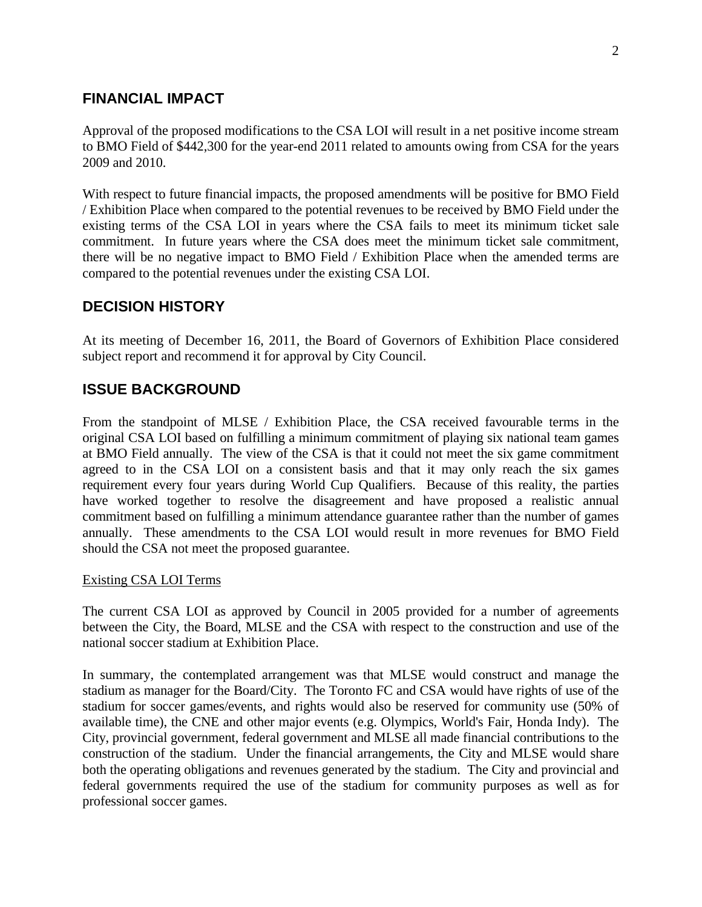### **FINANCIAL IMPACT**

Approval of the proposed modifications to the CSA LOI will result in a net positive income stream to BMO Field of \$442,300 for the year-end 2011 related to amounts owing from CSA for the years 2009 and 2010.

With respect to future financial impacts, the proposed amendments will be positive for BMO Field / Exhibition Place when compared to the potential revenues to be received by BMO Field under the existing terms of the CSA LOI in years where the CSA fails to meet its minimum ticket sale commitment. In future years where the CSA does meet the minimum ticket sale commitment, there will be no negative impact to BMO Field / Exhibition Place when the amended terms are compared to the potential revenues under the existing CSA LOI.

### **DECISION HISTORY**

At its meeting of December 16, 2011, the Board of Governors of Exhibition Place considered subject report and recommend it for approval by City Council.

### **ISSUE BACKGROUND**

From the standpoint of MLSE / Exhibition Place, the CSA received favourable terms in the original CSA LOI based on fulfilling a minimum commitment of playing six national team games at BMO Field annually. The view of the CSA is that it could not meet the six game commitment agreed to in the CSA LOI on a consistent basis and that it may only reach the six games requirement every four years during World Cup Qualifiers. Because of this reality, the parties have worked together to resolve the disagreement and have proposed a realistic annual commitment based on fulfilling a minimum attendance guarantee rather than the number of games annually. These amendments to the CSA LOI would result in more revenues for BMO Field should the CSA not meet the proposed guarantee.

#### Existing CSA LOI Terms

The current CSA LOI as approved by Council in 2005 provided for a number of agreements between the City, the Board, MLSE and the CSA with respect to the construction and use of the national soccer stadium at Exhibition Place.

In summary, the contemplated arrangement was that MLSE would construct and manage the stadium as manager for the Board/City. The Toronto FC and CSA would have rights of use of the stadium for soccer games/events, and rights would also be reserved for community use (50% of available time), the CNE and other major events (e.g. Olympics, World's Fair, Honda Indy). The City, provincial government, federal government and MLSE all made financial contributions to the construction of the stadium. Under the financial arrangements, the City and MLSE would share both the operating obligations and revenues generated by the stadium. The City and provincial and federal governments required the use of the stadium for community purposes as well as for professional soccer games.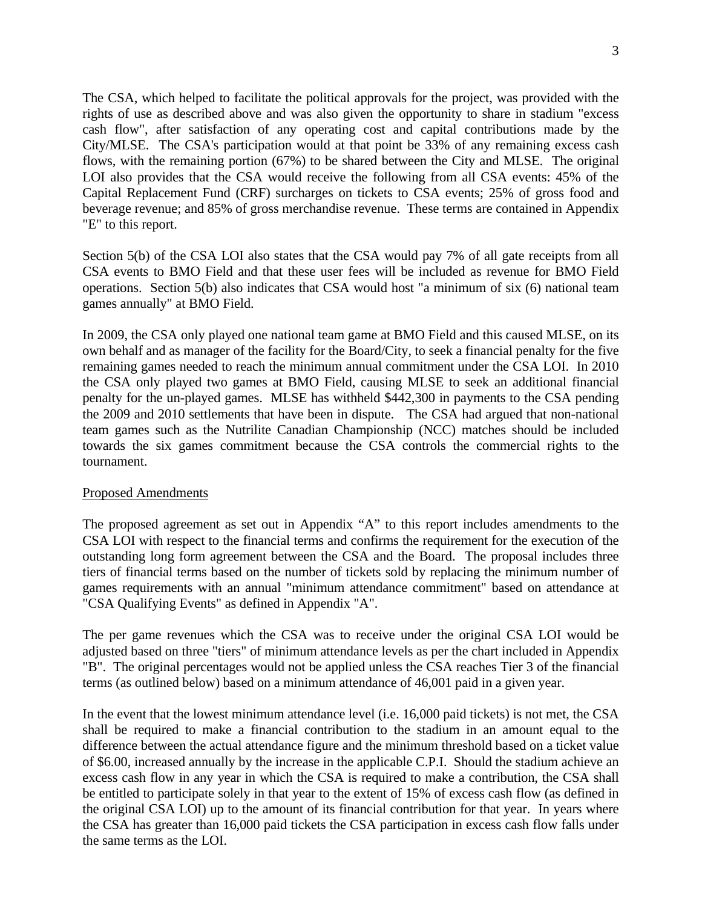The CSA, which helped to facilitate the political approvals for the project, was provided with the rights of use as described above and was also given the opportunity to share in stadium "excess cash flow", after satisfaction of any operating cost and capital contributions made by the City/MLSE. The CSA's participation would at that point be 33% of any remaining excess cash flows, with the remaining portion (67%) to be shared between the City and MLSE. The original LOI also provides that the CSA would receive the following from all CSA events: 45% of the Capital Replacement Fund (CRF) surcharges on tickets to CSA events; 25% of gross food and beverage revenue; and 85% of gross merchandise revenue. These terms are contained in Appendix "E" to this report.

Section 5(b) of the CSA LOI also states that the CSA would pay 7% of all gate receipts from all CSA events to BMO Field and that these user fees will be included as revenue for BMO Field operations. Section 5(b) also indicates that CSA would host "a minimum of six (6) national team games annually" at BMO Field.

In 2009, the CSA only played one national team game at BMO Field and this caused MLSE, on its own behalf and as manager of the facility for the Board/City, to seek a financial penalty for the five remaining games needed to reach the minimum annual commitment under the CSA LOI. In 2010 the CSA only played two games at BMO Field, causing MLSE to seek an additional financial penalty for the un-played games. MLSE has withheld \$442,300 in payments to the CSA pending the 2009 and 2010 settlements that have been in dispute. The CSA had argued that non-national team games such as the Nutrilite Canadian Championship (NCC) matches should be included towards the six games commitment because the CSA controls the commercial rights to the tournament.

#### Proposed Amendments

The proposed agreement as set out in Appendix "A" to this report includes amendments to the CSA LOI with respect to the financial terms and confirms the requirement for the execution of the outstanding long form agreement between the CSA and the Board. The proposal includes three tiers of financial terms based on the number of tickets sold by replacing the minimum number of games requirements with an annual "minimum attendance commitment" based on attendance at "CSA Qualifying Events" as defined in Appendix "A".

The per game revenues which the CSA was to receive under the original CSA LOI would be adjusted based on three "tiers" of minimum attendance levels as per the chart included in Appendix "B". The original percentages would not be applied unless the CSA reaches Tier <sup>3</sup> of the financial terms (as outlined below) based on a minimum attendance of 46,001 paid in a given year.

In the event that the lowest minimum attendance level (i.e. 16,000 paid tickets) is not met, the CSA shall be required to make a financial contribution to the stadium in an amount equal to the difference between the actual attendance figure and the minimum threshold based on a ticket value of \$6.00, increased annually by the increase in the applicable C.P.I. Should the stadium achieve an excess cash flow in any year in which the CSA is required to make a contribution, the CSA shall be entitled to participate solely in that year to the extent of 15% of excess cash flow (as defined in the original CSA LOI) up to the amount of its financial contribution for that year. In years where the CSA has greater than 16,000 paid tickets the CSA participation in excess cash flow falls under the same terms as the LOI.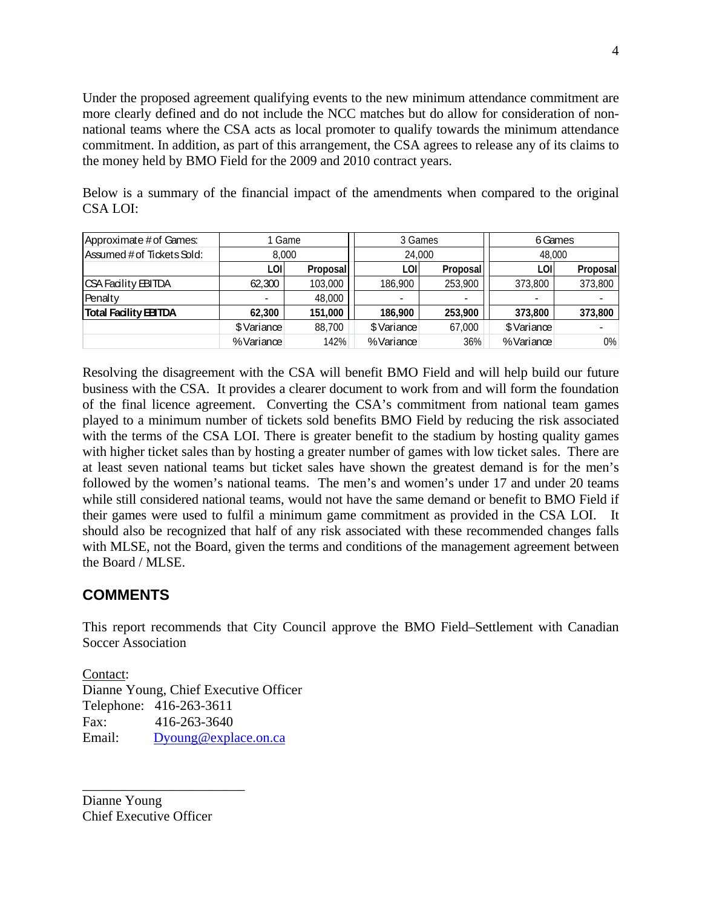Under the proposed agreement qualifying events to the new minimum attendance commitment are more clearly defined and do not include the NCC matches but do allow for consideration of non national teams where the CSA acts as local promoter to qualify towards the minimum attendance commitment. In addition, as part of this arrangement, the CSA agrees to release any of its claims to the money held by BMO Field for the 2009 and 2010 contract years.

| Below is a summary of the financial impact of the amendments when compared to the original |  |  |
|--------------------------------------------------------------------------------------------|--|--|
| <b>CSALOI:</b>                                                                             |  |  |

|                                                       | 1 Game     |          |            |            | റ് Game         |              |
|-------------------------------------------------------|------------|----------|------------|------------|-----------------|--------------|
|                                                       |            |          |            |            |                 |              |
| Approximate # of Games:<br>Assumed # of Tickets Sold: | 0.000      |          |            |            | 48.000          |              |
|                                                       |            |          |            |            |                 | <b>Prono</b> |
| CSA Facility EBITDA                                   | ଼ ବେ ବାଠ । | 13 OOO - | 86.900 I   | 253.900 LT | 373.800 L       | 373,800      |
| Penalty                                               |            | 3.000 I  |            |            |                 |              |
| <b>Total Facility EBITDA</b>                          |            | 151.000  | 186.900    | 253.900 L  | 373,800 373,800 |              |
|                                                       | \$Variance | ∃8.700.  | \$Variance | 67,000     | \$Varianœ       |              |
|                                                       | %Variance  |          | %Varianœ   |            | %Varianœ        |              |

Resolving the disagreement with the CSA will benefit BMO Field and will help build our future business with the CSA. It provides a clearer document to work from and will form the foundation of the final licence agreement. Converting the CSA's commitment from national team games played to a minimum number of tickets sold benefits BMO Field by reducing the risk associated with the terms of the CSA LOI. There is greater benefit to the stadium by hosting quality games with higher ticket sales than by hosting a greater number of games with low ticket sales. There are at least seven national teams but ticket sales have shown the greatest demand is for the men's followed by the women's national teams. The men's and women's under 17 and under 20 teams while still considered national teams, would not have the same demand or benefit to BMO Field if their games were used to fulfil a minimum game commitment as provided in the CSA LOI. It should also be recognized that half of any risk associated with these recommended changes falls with MLSE, not the Board, given the terms and conditions of the management agreement between the Board / MLSE.

## **COMMENTS**

This report recommends that City Council approve the BMO Field–Settlement with Canadian Soccer Association **Social** 

**Contact:** Contact: Dianne Young, Chief Executive Officer Telephone: 416-263-3611 Fax: 416-263-3640 Email: Dyoung@explace.on.ca

Dianne Young Chief Executive Officer

 $\overline{\phantom{a}}$  , we can assume that the contract of the contract of the contract of the contract of the contract of the contract of the contract of the contract of the contract of the contract of the contract of the contract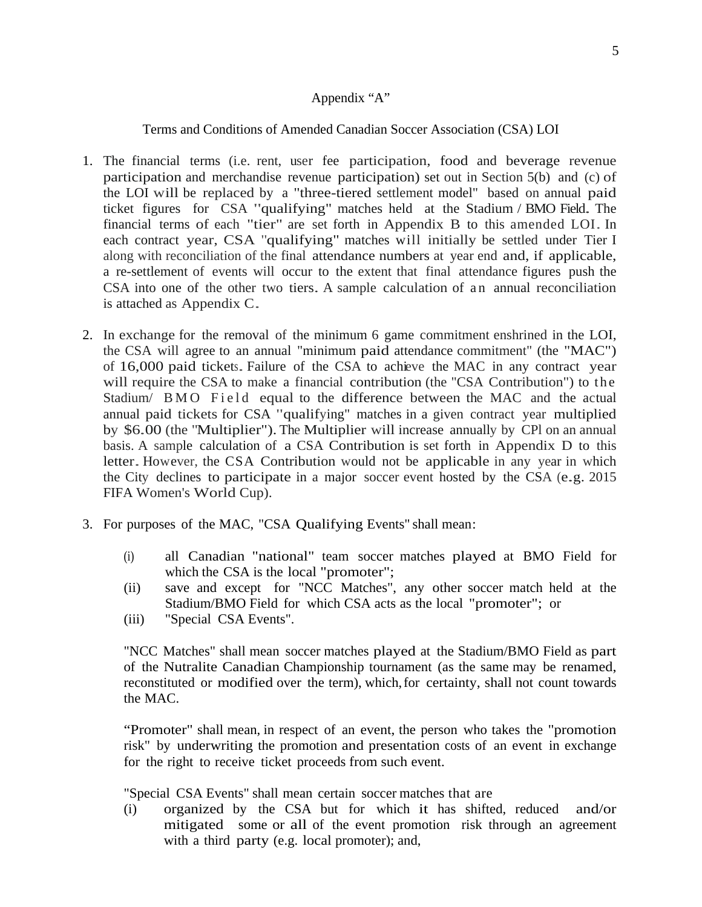#### Appendix "A"

#### Terms and Conditions of Amended Canadian Soccer Association (CSA) LOI

- 1. The financial terms (i.e. rent, user fee participation, food and beverage revenue participation and merchandise revenue participation) set out in Section 5(b) and (c) of the LOI will be replaced by a "three-tiered settlement model" based on annual paid ticket figures for CSA "qualifying" matches held at the Stadium / BMO Field. The financial terms of each "tier" are set forth in Appendix B to this amended LOI. In each contract year, CSA "qualifying" matches will initially be settled under Tier I along with reconciliation of the final attendance numbers at year end and, if applicable, a re-settlement of events will occur to the extent that final attendance figures push the CSA into one of the other two tiers. A sample calculation of a n annual reconciliation is attached as Appendix  $C$ . ESA mo one or the other two tiers. A sample calculation or an annual reconciliation<br>is attached as Appendix C.
- 2. In exchange for the removal of the minimum 6 game commitment enshrined in the LOI, the CSA will agree to an annual "minimum paid attendance commitment" (the "MAC") of 16,000 paid tickets. Failure of the CSA to achieve the MAC in any contract year will require the CSA to make a financial contribution (the "CSA Contribution") to the Stadium/ BMO Field equal to the difference between the MAC and the actual annual paid tickets for CSA "qualifying" matches in a given contract year multiplied by \$6.00 (the "Multiplier"). The Multiplier will increase annually by CPl on an annual basis. A sample calculation of a CSA Contribution is set forth in Appendix D to this letter.However, the CSA Contribution would not be applicable in any year in which the City declines to participate in a major soccer event hosted by the CSA (e.g. 2015 FIFA Women's World Cup). FIFA Women's World Cup).
- 3. For purposes of the MAC, "CSA Qualifying Events" shall mean:
	- (i) all Canadian "national" team soccer matches played at BMO Field for which the CSA is the local "promoter";
	- (ii) save and except for "NCC Matches", any other soccer match held at the Stadium/BMO Field for which CSA acts as the local "promoter"; or
	- (iii) "Special CSA Events".

"NCC Matches" shall mean soccer matches played at the Stadium/BMO Field as part of the Nutralite Canadian Championship tournament (as the same may be renamed, reconstituted or modified over the term), which, for certainty, shall not count towards the MAC.

"Promoter" shall mean, in respect of an event, the person who takes the "promotion risk" by underwriting the promotion and presentation costs of an event in exchange for the right to receive ticket proceeds from such event.

"Special CSA Events" shall mean certain soccer matches that are

(i) organized by the CSA but for which it has shifted, reduced and/or mitigated some or all of the event promotion risk through an agreement with a third party (e.g. local promoter); and,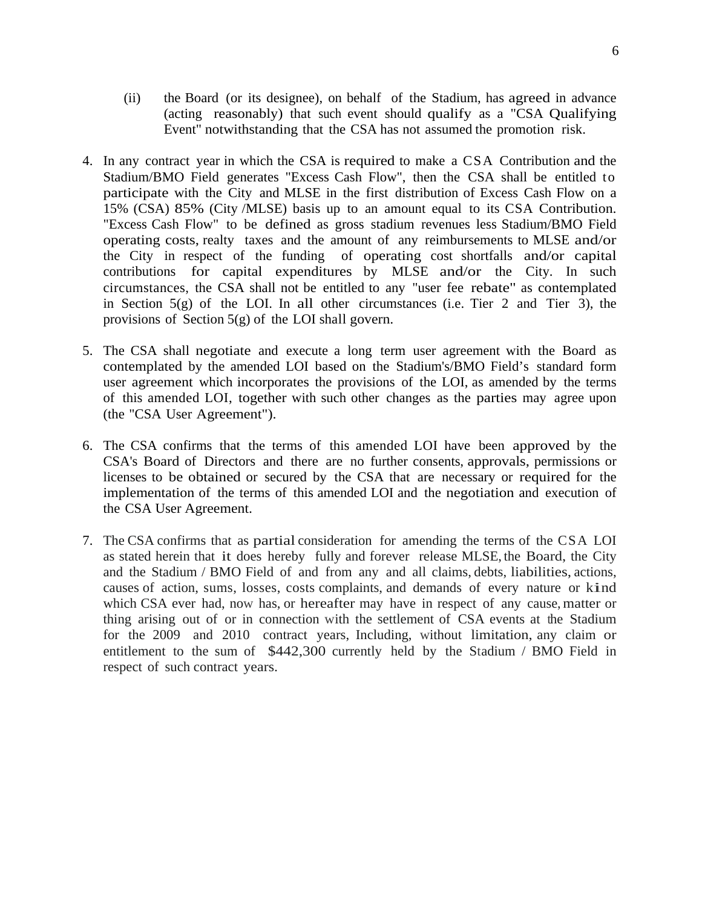- (ii) the Board (or its designee), on behalf of the Stadium, has agreed in advance (acting reasonably) that such event should qualify as a "CSA Qualifying Event" notwithstanding that the CSA has not assumed the promotion risk.
- 4. In any contract year in which the CSA is required to make a CSA Contribution and the Stadium/BMO Field generates "Excess Cash Flow", then the CSA shall be entitled to participate with the City and MLSE in the first distribution of Excess Cash Flow on a 15% (CSA) 85% (City /MLSE) basis up to an amount equal to its CSA Contribution. "Excess Cash Flow" to be defined as gross stadium revenues less Stadium/BMO Field operating costs, realty taxes and the amount of any reimbursements to MLSE and/or the City in respect of the funding of operating cost shortfalls and/or capital contributions for capital expenditures by MLSE and/or the City. In such circumstances, the CSA shall not be entitled to any "user fee rebate" as contemplated in Section  $5(g)$  of the LOI. In all other circumstances (i.e. Tier 2 and Tier 3), the provisions of Section 5(g) of the LOI shall govern.
- 5. The CSA shall negotiate and execute a long term user agreement with the Board as contemplated by the amended LOI based on the Stadium's/BMO Field's standard form user agreement which incorporates the provisions of the LOI, as amended by the terms of this amended LOI, together with such other changes as the parties may agree upon (the "CSA User Agreement").
- 6. The CSA confirms that the terms of this amended LOI have been approved by the CSA's Board of Directors and there are no further consents, approvals, permissions or licenses to be obtained or secured by the CSA that are necessary or required for the implementation of the terms of this amended LOI and the negotiation and execution of the CSA User Agreement.
- 7. The CSA confirms that as partial consideration for amending the terms of the CSA LOI as stated herein that it does hereby fully and forever release MLSE, the Board, the City and the Stadium / BMO Field of and from any and all claims, debts, liabilities, actions, causes of action, sums, losses, costs complaints, and demands of every nature or kind which CSA ever had, now has, or hereafter may have in respect of any cause, matter or thing arising out of or in connection with the settlement of CSA events at the Stadium for the 2009 and 2010 contract years, Including, without limitation, any claim or entitlement to the sum of \$442,300 currently held by the Stadium / BMO Field in respect of such contract years.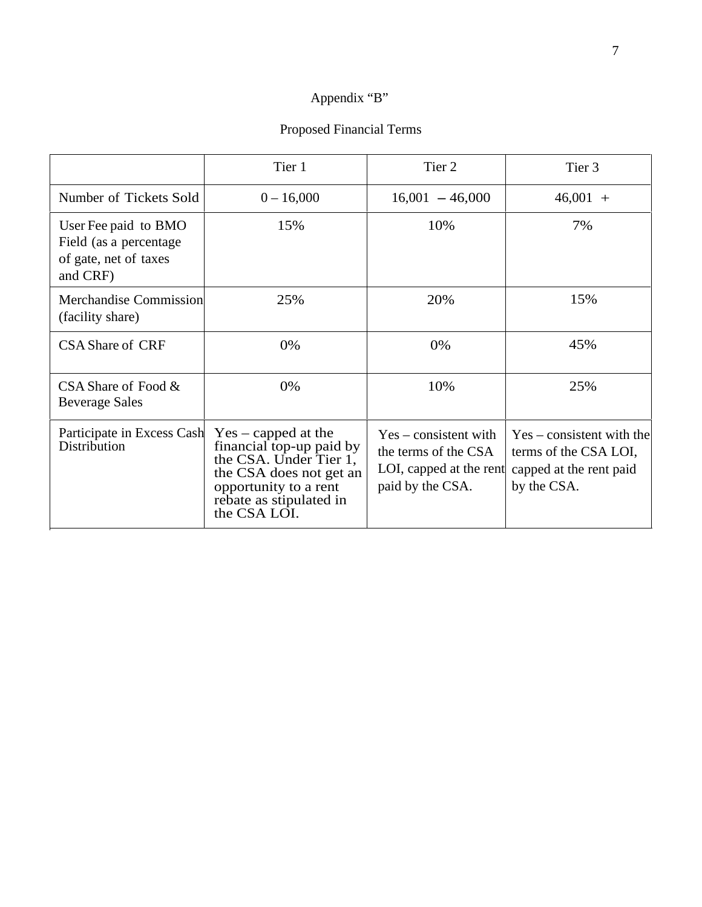### Appendix "B"

## Proposed Financial Terms

|                                                                                      | Tier 1                                                                                                                                            | Tier 2            | Tier 3                                                                                                                                                                      |
|--------------------------------------------------------------------------------------|---------------------------------------------------------------------------------------------------------------------------------------------------|-------------------|-----------------------------------------------------------------------------------------------------------------------------------------------------------------------------|
| Number of Tickets Sold                                                               | $0 - 16,000$                                                                                                                                      | $16,001 - 46,000$ | $46,001 +$                                                                                                                                                                  |
| User Fee paid to BMO<br>Field (as a percentage<br>of gate, net of taxes<br>and CRF)  | 15%                                                                                                                                               | 10%               | 7%                                                                                                                                                                          |
| Merchandise Commission<br>(facility share)                                           | 25%                                                                                                                                               | 20%               | 15%                                                                                                                                                                         |
| <b>CSA</b> Share of CRF                                                              | 0%                                                                                                                                                | 0%                | 45%                                                                                                                                                                         |
| CSA Share of Food &<br><b>Beverage Sales</b>                                         | 0%                                                                                                                                                | 10%               | 25%                                                                                                                                                                         |
| Participate in Excess Cash Yes – capped at the<br>Distribution financial top-up paid | financial top-up paid by<br>the CSA. Under Tier 1,<br>the CSA does not get an<br>opportunity to a rent<br>rebate as stipulated in<br>the CSA LOI. | paid by the CSA.  | $Yes$ – consistent with $Yes$ – consistent with the<br>the terms of the CSA $\vert$ terms of the CSA LOI,<br>LOI, capped at the rent capped at the rent paid<br>by the CSA. |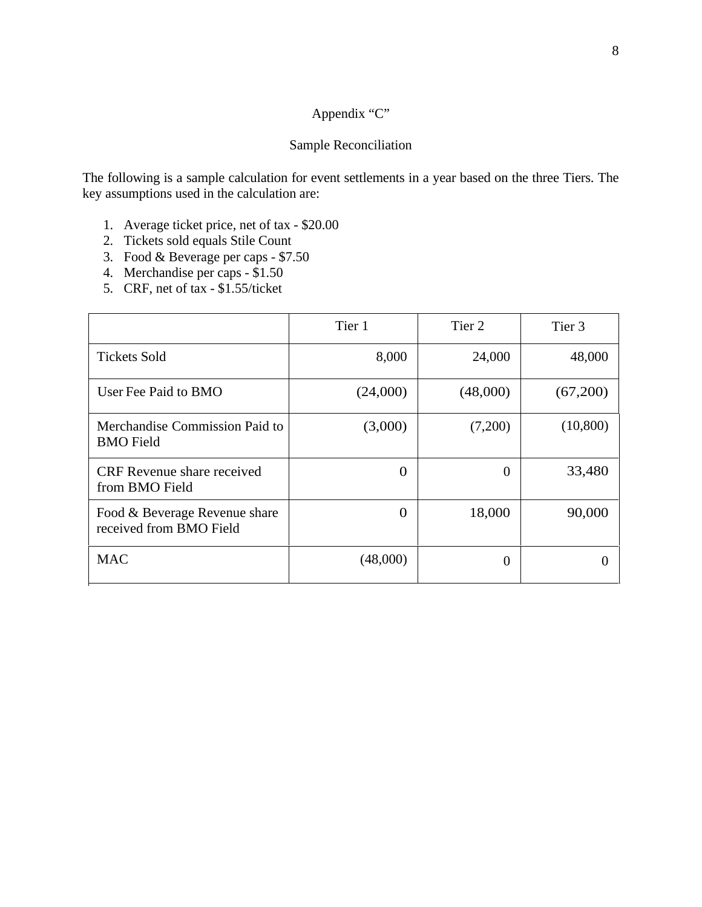#### Appendix "C"

#### Sample Reconciliation

The following is a sample calculation for event settlements in a year based on the three Tiers. The key assumptions used in the calculation are:

- 1. Average ticket price, net of tax \$20.00
- 2. Tickets sold equals Stile Count
- 3. Food & Beverage per caps \$7.50
- 4. Merchandise per caps \$1.50
- 5. CRF, net of tax \$1.55/ticket

|                                                          | Tier     | Tier 2   | Tier 3    |
|----------------------------------------------------------|----------|----------|-----------|
| <b>Tickets Sold</b>                                      | 8,000    | 24,000   | 48,000    |
| User Fee Paid to BMO                                     | (24,000) | (48,000) | (67,200)  |
| Merchandise Commission Paid to<br><b>BMO</b> Field       | (3,000)  | (7,200)  | (10, 800) |
| CRF Revenue share received<br>from BMO Field             |          |          | 33,480    |
| Food & Beverage Revenue share<br>received from BMO Field |          | 18,000   | 90,000    |
| <b>MAC</b>                                               | (48,000) |          |           |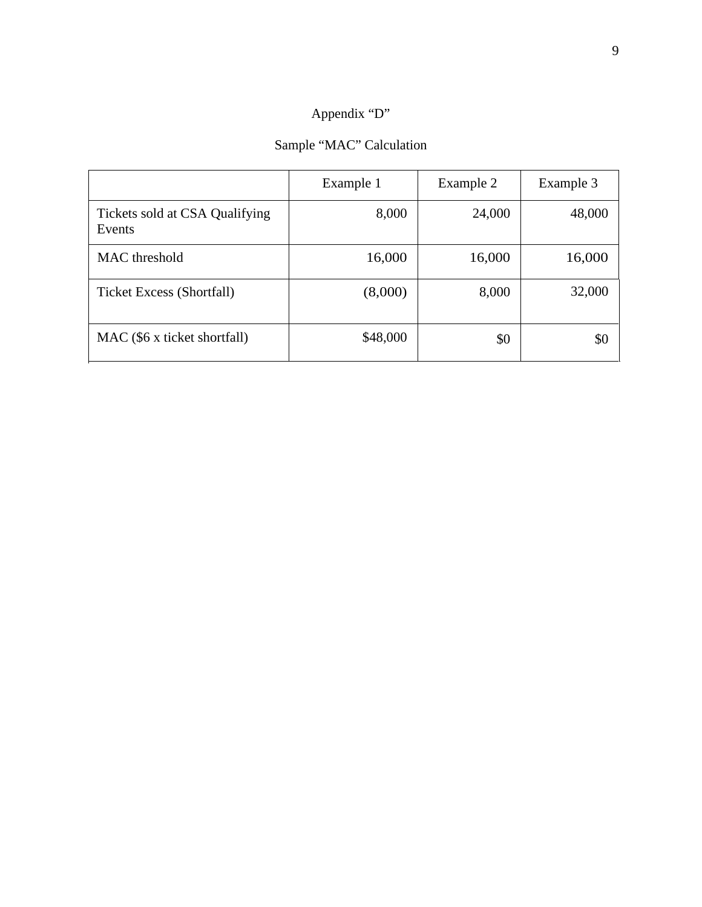#### Appendix "D"

## Sample "MAC" Calculation

|                                          | Example 1 | Example 2 | Example 3 |
|------------------------------------------|-----------|-----------|-----------|
| Tickets sold at CSA Qualifying<br>Events | 8,000     | 24,000    | 48,000    |
| <b>MAC</b> threshold                     | 16,000    | 16,000    | 16,000    |
| <b>Ticket Excess (Shortfall)</b>         | (8,000)   | 8,000     | 32,000    |
| MAC (\$6 x ticket shortfall)             | \$48,000  | \$0       |           |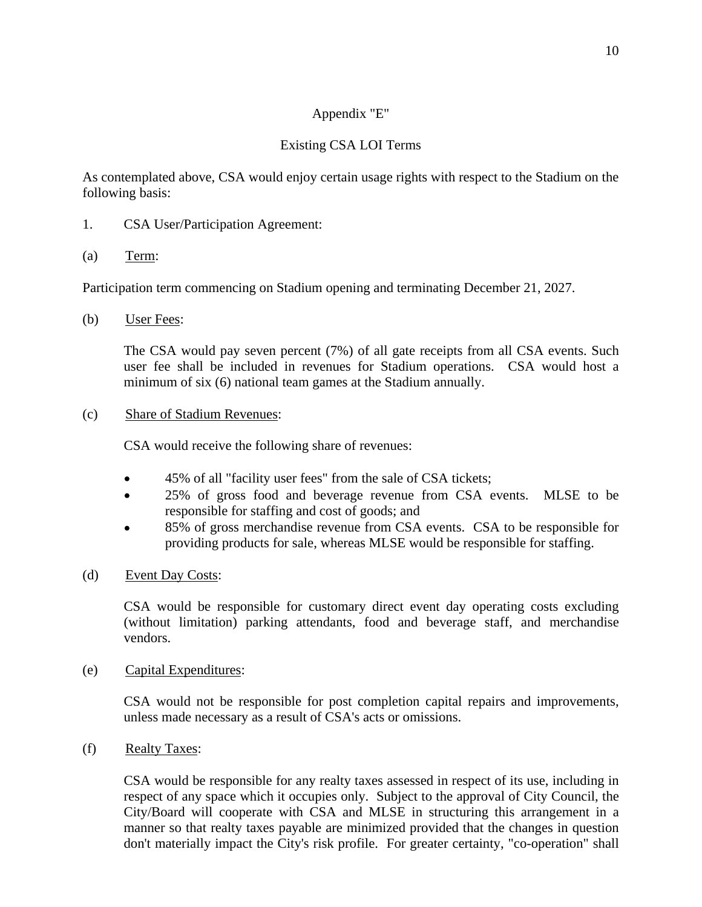#### Appendix "E"

### Existing CSA LOI Terms

As contemplated above, CSA would enjoy certain usage rights with respect to the Stadium on the following basis:

- 1. CSA User/Participation Agreement:
- (a)  $Term$ :</u>

Participation term commencing on Stadium opening and terminating December 21, 2027.

(b) User Fees:

The CSA would pay seven percent (7%) of all gate receipts from all CSA events. Such user fee shall be included in revenues for Stadium operations. CSA would host a minimum of six (6) national team games at the Stadium annually.

(c) Share of Stadium Revenues:

CSA would receive the following share of revenues:

- 45% of all "facility user fees" from the sale of CSA tickets;  $\bullet$
- 25% of gross food and beverage revenue from CSA events. MLSE to be  $\bullet$ responsible for staffing and cost of goods; and
- 85% of gross merchandise revenue from CSA events. CSA to be responsible for  $\bullet$ providing products for sale, whereas MLSE would be responsible for staffing.
- (d) Event Day Costs:

CSA would be responsible for customary direct event day operating costs excluding (without limitation) parking attendants, food and beverage staff, and merchandise vendors.

(e) Capital Expenditures:

CSA would not be responsible for post completion capital repairs and improvements, unless made necessary as a result of CSA's acts or omissions.

(f) Realty Taxes:

CSA would be responsible for any realty taxes assessed in respect of its use, including in respect of any space which it occupies only. Subject to the approval of City Council, the City/Board will cooperate with CSA and MLSE in structuring this arrangement in a manner so that realty taxes payable are minimized provided that the changes in question don't materially impact the City's risk profile. For greater certainty, "co-operation" shall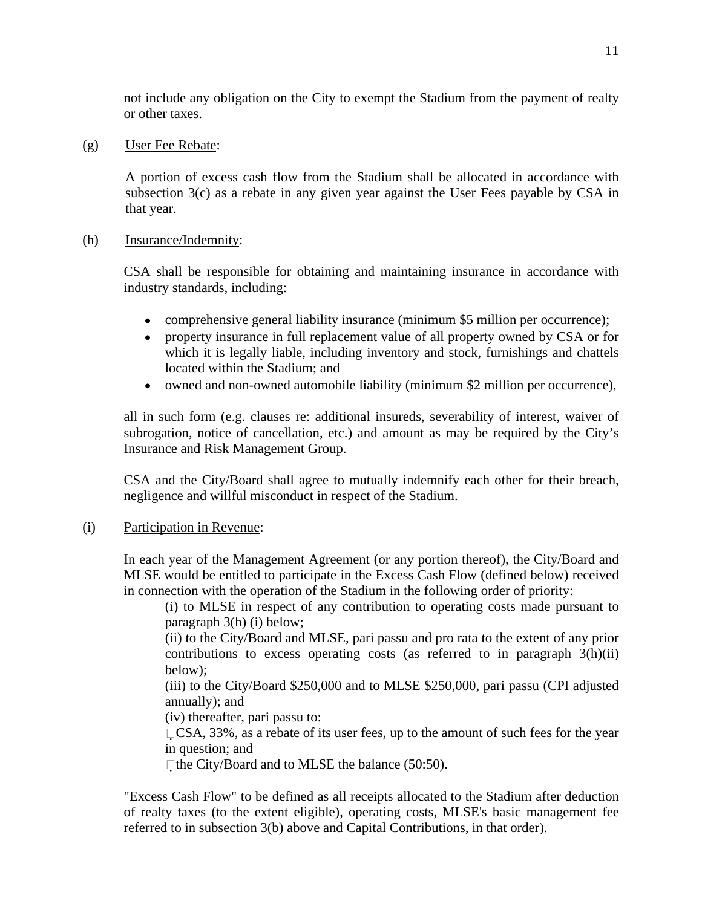not include any obligation on the City to exempt the Stadium from the payment of realty or other taxes.

#### (g) User Fee Rebate:

A portion of excess cash flow from the Stadium shall be allocated in accordance with subsection 3(c) as a rebate in any given year against the User Fees payable by CSA in that year.

#### (h) Insurance/Indemnity:

CSA shall be responsible for obtaining and maintaining insurance in accordance with industry standards, including:

- comprehensive general liability insurance (minimum \$5 million per occurrence);
- property insurance in full replacement value of all property owned by CSA or for which it is legally liable, including inventory and stock, furnishings and chattels located within the Stadium; and
- owned and non-owned automobile liability (minimum \$2 million per occurrence),

all in such form (e.g. clauses re: additional insureds, severability of interest, waiver of subrogation, notice of cancellation, etc.) and amount as may be required by the City's Insurance and Risk Management Group.

CSA and the City/Board shall agree to mutually indemnify each other for their breach, negligence and willful misconduct in respect of the Stadium.

#### (i) Participation in Revenue:

In each year of the Management Agreement (or any portion thereof), the City/Board and MLSE would be entitled to participate in the Excess Cash Flow (defined below) received in connection with the operation of the Stadium in the following order of priority:

(i) to MLSE in respect of any contribution to operating costs made pursuant to paragraph 3(h) (i) below;

(ii) to the City/Board and MLSE, pari passu and pro rata to the extent of any prior contributions to excess operating costs (as referred to in paragraph 3(h)(ii) below);

(iii) to the City/Board \$250,000 and to MLSE \$250,000, pari passu (CPI adjusted annually); and

(iv) thereafter, pari passu to:

CSA, 33%, as a rebate of its user fees, up to the amount of such fees for the year in question; and

 $\Box$  the City/Board and to MLSE the balance (50:50).

"Excess Cash Flow" to be defined as all receipts allocated to the Stadium after deduction of realty taxes (to the extent eligible), operating costs, MLSE's basic management fee referred to in subsection 3(b) above and Capital Contributions, in that order).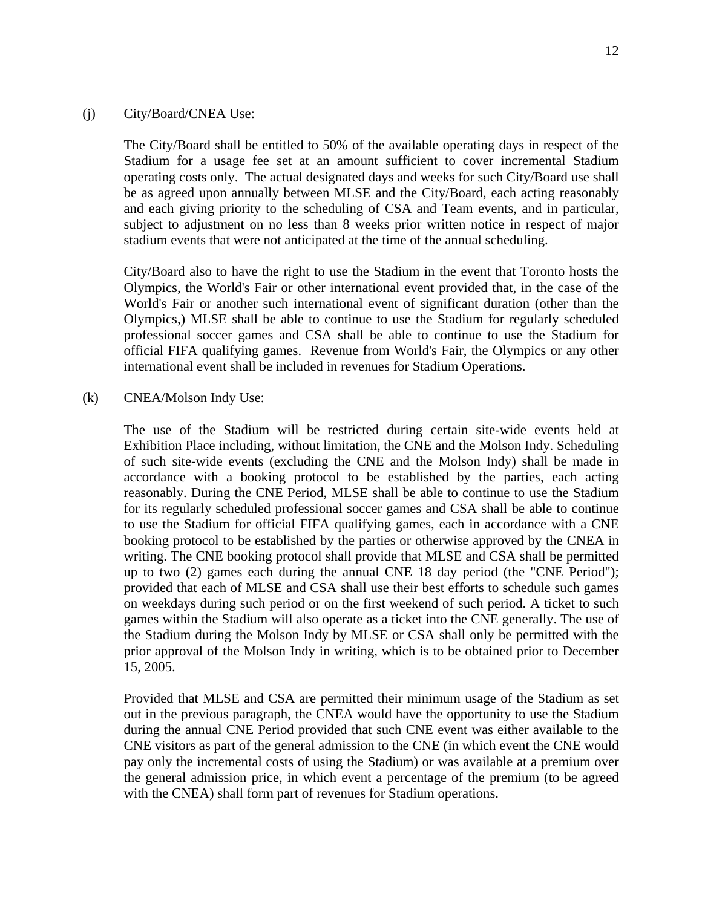#### (j) City/Board/CNEA Use:

The City/Board shall be entitled to 50% of the available operating days in respect of the Stadium for a usage fee set at an amount sufficient to cover incremental Stadium operating costs only. The actual designated days and weeks for such City/Board use shall be as agreed upon annually between MLSE and the City/Board, each acting reasonably and each giving priority to the scheduling of CSA and Team events, and in particular, subject to adjustment on no less than 8 weeks prior written notice in respect of major stadium events that were not anticipated at the time of the annual scheduling.

City/Board also to have the right to use the Stadium in the event that Toronto hosts the Olympics, the World's Fair or other international event provided that, in the case of the World's Fair or another such international event of significant duration (other than the Olympics,) MLSE shall be able to continue to use the Stadium for regularly scheduled professional soccer games and CSA shall be able to continue to use the Stadium for official FIFA qualifying games. Revenue from World's Fair, the Olympics or any other international event shall be included in revenues for Stadium Operations.

#### (k) CNEA/Molson Indy Use:

The use of the Stadium will be restricted during certain site-wide events held at Exhibition Place including, without limitation, the CNE and the Molson Indy. Scheduling of such site-wide events (excluding the CNE and the Molson Indy) shall be made in accordance with a booking protocol to be established by the parties, each acting reasonably. During the CNE Period, MLSE shall be able to continue to use the Stadium for its regularly scheduled professional soccer games and CSA shall be able to continue to use the Stadium for official FIFA qualifying games, each in accordance with a CNE booking protocol to be established by the parties or otherwise approved by the CNEA in writing. The CNE booking protocol shall provide that MLSE and CSA shall be permitted up to two (2) games each during the annual CNE 18 day period (the "CNE Period"); provided that each of MLSE and CSA shall use their best efforts to schedule such games on weekdays during such period or on the first weekend of such period. A ticket to such games within the Stadium will also operate as a ticket into the CNE generally. The use of the Stadium during the Molson Indy by MLSE or CSA shall only be permitted with the prior approval of the Molson Indy in writing, which is to be obtained prior to December 15, 2005.

Provided that MLSE and CSA are permitted their minimum usage of the Stadium as set out in the previous paragraph, the CNEA would have the opportunity to use the Stadium during the annual CNE Period provided that such CNE event was either available to the CNE visitors as part of the general admission to the CNE (in which event the CNE would pay only the incremental costs of using the Stadium) or was available at a premium over the general admission price, in which event a percentage of the premium (to be agreed with the CNEA) shall form part of revenues for Stadium operations.